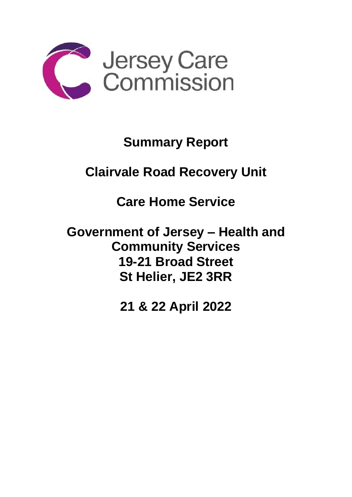

## **Summary Report**

## **Clairvale Road Recovery Unit**

**Care Home Service** 

**Government of Jersey – Health and Community Services 19-21 Broad Street St Helier, JE2 3RR**

**21 & 22 April 2022**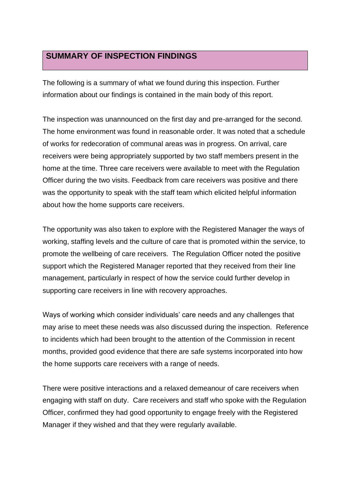## **SUMMARY OF INSPECTION FINDINGS**

The following is a summary of what we found during this inspection. Further information about our findings is contained in the main body of this report.

The inspection was unannounced on the first day and pre-arranged for the second. The home environment was found in reasonable order. It was noted that a schedule of works for redecoration of communal areas was in progress. On arrival, care receivers were being appropriately supported by two staff members present in the home at the time. Three care receivers were available to meet with the Regulation Officer during the two visits. Feedback from care receivers was positive and there was the opportunity to speak with the staff team which elicited helpful information about how the home supports care receivers.

The opportunity was also taken to explore with the Registered Manager the ways of working, staffing levels and the culture of care that is promoted within the service, to promote the wellbeing of care receivers. The Regulation Officer noted the positive support which the Registered Manager reported that they received from their line management, particularly in respect of how the service could further develop in supporting care receivers in line with recovery approaches.

Ways of working which consider individuals' care needs and any challenges that may arise to meet these needs was also discussed during the inspection. Reference to incidents which had been brought to the attention of the Commission in recent months, provided good evidence that there are safe systems incorporated into how the home supports care receivers with a range of needs.

There were positive interactions and a relaxed demeanour of care receivers when engaging with staff on duty. Care receivers and staff who spoke with the Regulation Officer, confirmed they had good opportunity to engage freely with the Registered Manager if they wished and that they were regularly available.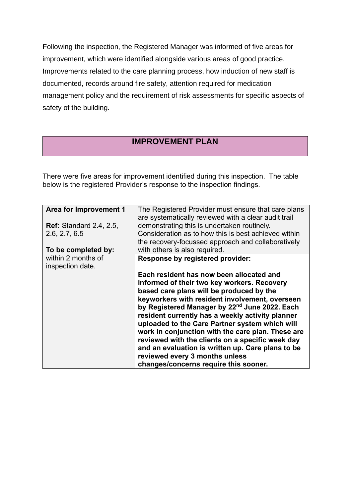Following the inspection, the Registered Manager was informed of five areas for improvement, which were identified alongside various areas of good practice. Improvements related to the care planning process, how induction of new staff is documented, records around fire safety, attention required for medication management policy and the requirement of risk assessments for specific aspects of safety of the building.

## **IMPROVEMENT PLAN**

There were five areas for improvement identified during this inspection. The table below is the registered Provider's response to the inspection findings.

| Area for Improvement 1                 | The Registered Provider must ensure that care plans<br>are systematically reviewed with a clear audit trail                                                                                                                                                                                                                                                                                                                                                                                                                                                                                       |
|----------------------------------------|---------------------------------------------------------------------------------------------------------------------------------------------------------------------------------------------------------------------------------------------------------------------------------------------------------------------------------------------------------------------------------------------------------------------------------------------------------------------------------------------------------------------------------------------------------------------------------------------------|
| <b>Ref:</b> Standard 2.4, 2.5,         | demonstrating this is undertaken routinely.                                                                                                                                                                                                                                                                                                                                                                                                                                                                                                                                                       |
| 2.6, 2.7, 6.5                          | Consideration as to how this is best achieved within                                                                                                                                                                                                                                                                                                                                                                                                                                                                                                                                              |
|                                        | the recovery-focussed approach and collaboratively                                                                                                                                                                                                                                                                                                                                                                                                                                                                                                                                                |
| To be completed by:                    | with others is also required.                                                                                                                                                                                                                                                                                                                                                                                                                                                                                                                                                                     |
| within 2 months of<br>inspection date. | Response by registered provider:                                                                                                                                                                                                                                                                                                                                                                                                                                                                                                                                                                  |
|                                        | Each resident has now been allocated and<br>informed of their two key workers. Recovery<br>based care plans will be produced by the<br>keyworkers with resident involvement, overseen<br>by Registered Manager by 22 <sup>nd</sup> June 2022. Each<br>resident currently has a weekly activity planner<br>uploaded to the Care Partner system which will<br>work in conjunction with the care plan. These are<br>reviewed with the clients on a specific week day<br>and an evaluation is written up. Care plans to be<br>reviewed every 3 months unless<br>changes/concerns require this sooner. |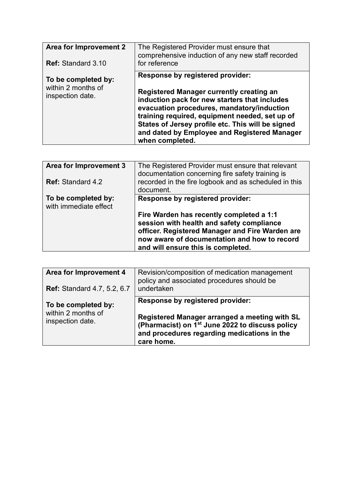| Area for Improvement 2<br><b>Ref: Standard 3.10</b>           | The Registered Provider must ensure that<br>comprehensive induction of any new staff recorded<br>for reference                                                                                                                                                                                                                                               |
|---------------------------------------------------------------|--------------------------------------------------------------------------------------------------------------------------------------------------------------------------------------------------------------------------------------------------------------------------------------------------------------------------------------------------------------|
| To be completed by:<br>within 2 months of<br>inspection date. | <b>Response by registered provider:</b><br>Registered Manager currently creating an<br>induction pack for new starters that includes<br>evacuation procedures, mandatory/induction<br>training required, equipment needed, set up of<br>States of Jersey profile etc. This will be signed<br>and dated by Employee and Registered Manager<br>when completed. |

| Area for Improvement 3<br><b>Ref:</b> Standard 4.2 | The Registered Provider must ensure that relevant<br>documentation concerning fire safety training is<br>recorded in the fire logbook and as scheduled in this<br>document.                                                    |
|----------------------------------------------------|--------------------------------------------------------------------------------------------------------------------------------------------------------------------------------------------------------------------------------|
| To be completed by:<br>with immediate effect       | <b>Response by registered provider:</b>                                                                                                                                                                                        |
|                                                    | Fire Warden has recently completed a 1:1<br>session with health and safety compliance<br>officer. Registered Manager and Fire Warden are<br>now aware of documentation and how to record<br>and will ensure this is completed. |

| Area for Improvement 4<br><b>Ref: Standard 4.7, 5.2, 6.7</b>  | Revision/composition of medication management<br>policy and associated procedures should be<br>undertaken                                                                                                     |
|---------------------------------------------------------------|---------------------------------------------------------------------------------------------------------------------------------------------------------------------------------------------------------------|
| To be completed by:<br>within 2 months of<br>inspection date. | Response by registered provider:<br>Registered Manager arranged a meeting with SL<br>(Pharmacist) on 1 <sup>st</sup> June 2022 to discuss policy<br>and procedures regarding medications in the<br>care home. |